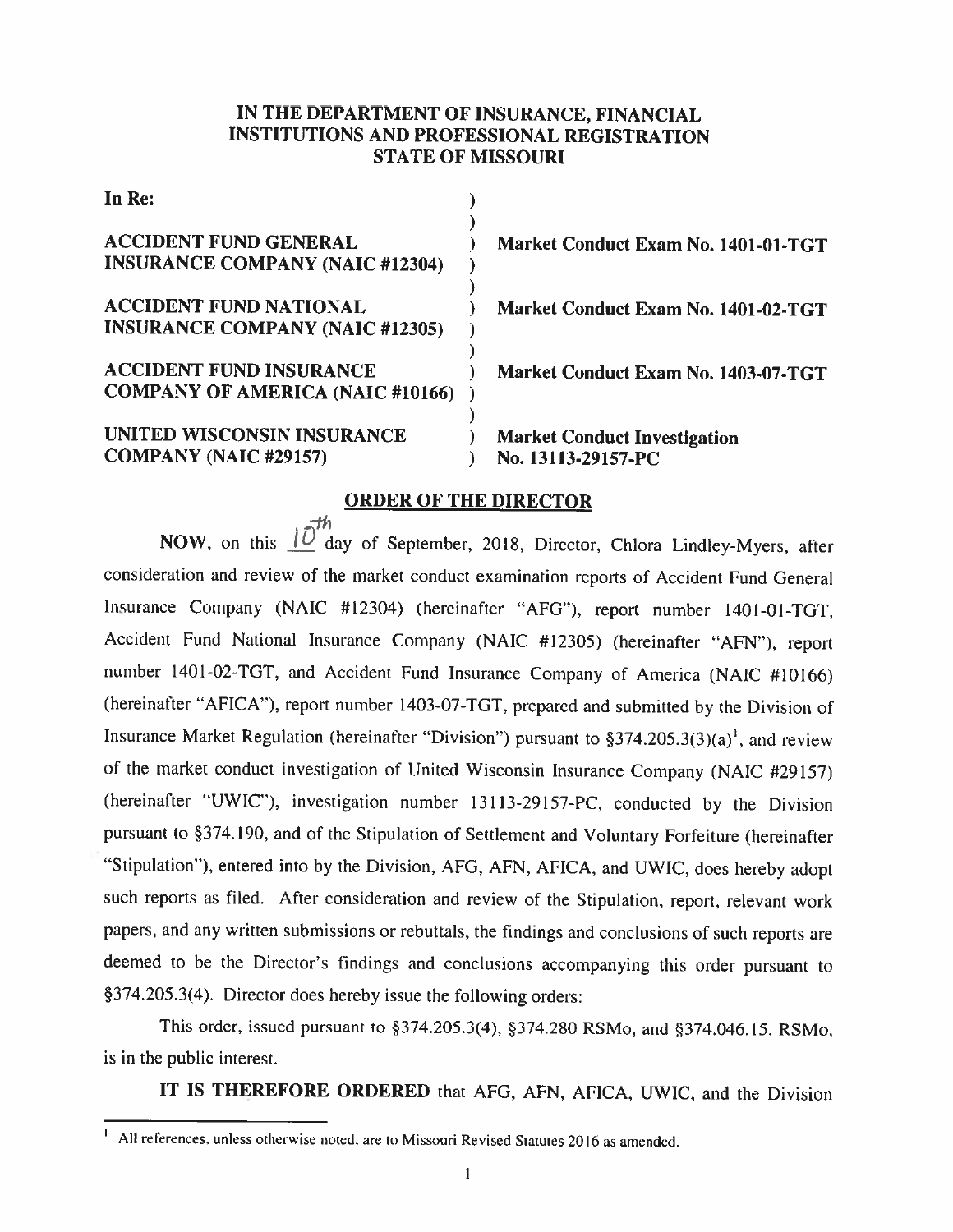## IN THE DEPARTMENT OF INSURANCE. FINANCIAL INSTITUTIONS AND PROFESSIONAL REGISTRATION STATE OF MISSOURI

| In Re:                                                                    |                                                           |
|---------------------------------------------------------------------------|-----------------------------------------------------------|
| <b>ACCIDENT FUND GENERAL</b><br><b>INSURANCE COMPANY (NAIC #12304)</b>    | Market Conduct Exam No. 1401-01-TGT                       |
| <b>ACCIDENT FUND NATIONAL</b><br><b>INSURANCE COMPANY (NAIC #12305)</b>   | Market Conduct Exam No. 1401-02-TGT                       |
| <b>ACCIDENT FUND INSURANCE</b><br><b>COMPANY OF AMERICA (NAIC #10166)</b> | Market Conduct Exam No. 1403-07-TGT                       |
| UNITED WISCONSIN INSURANCE<br><b>COMPANY (NAIC #29157)</b>                | <b>Market Conduct Investigation</b><br>No. 13113-29157-PC |

## ORDER OF THE DIRECTOR

NOW, on this  $\overrightarrow{10}^{th}$  day of September, 2018, Director, Chlora Lindley-Myers, after consideration and review of the market conduct examination reports of Accident Fund General Insurance Company (NAIC #12304) (hereinafter "AFG"), report number 1401-01-TGT, Accident Fund National Insurance Company (NAIC #12305) (hereinafter "AEN"). report number 1401-02-TGT. and Accident Fund Insurance Company of America (NAIC #10166) (hereinafter "AFICA"), report number 1403-07-TGT, prepared and submitted by the Division of Insurance Market Regulation (hereinafter "Division") pursuant to  $\S 374.205.3(3)(a)^{1}$ , and review of the market conduct investigation of United Wisconsin Insurance Company (NAIC #29 157) (hereinafter "UWIC"), investigation number 13113-29157-PC, conducted by the Division pursuant to §374.190, and of the Stipulation of Settlement and Voluntary Forfeiture (hereinafter "Stipulation"), entered into by the Division, AFG, AFN, AFICA, and UWIC, does hereby adopt such reports as filed. After consideration and review of the Stipulation, report, relevant work papers, and any written submissions or rebuttals, the findings and conclusions of such reports are deemed to be the Director's findings and conclusions accompanying this order pursuant to §374.205.3(4). Director does hereby issue the following orders:

This order, issued pursuant to §374.205.3(4), §374.280 RSMo. and §374.046.15. RSMo. is in the public interest.

IT IS THEREFORE ORDERED that AFG, AFN, AFICA. UWIC, and the Division

 $<sup>1</sup>$  All references, unless otherwise noted, are to Missouri Revised Statutes 2016 as amended.</sup>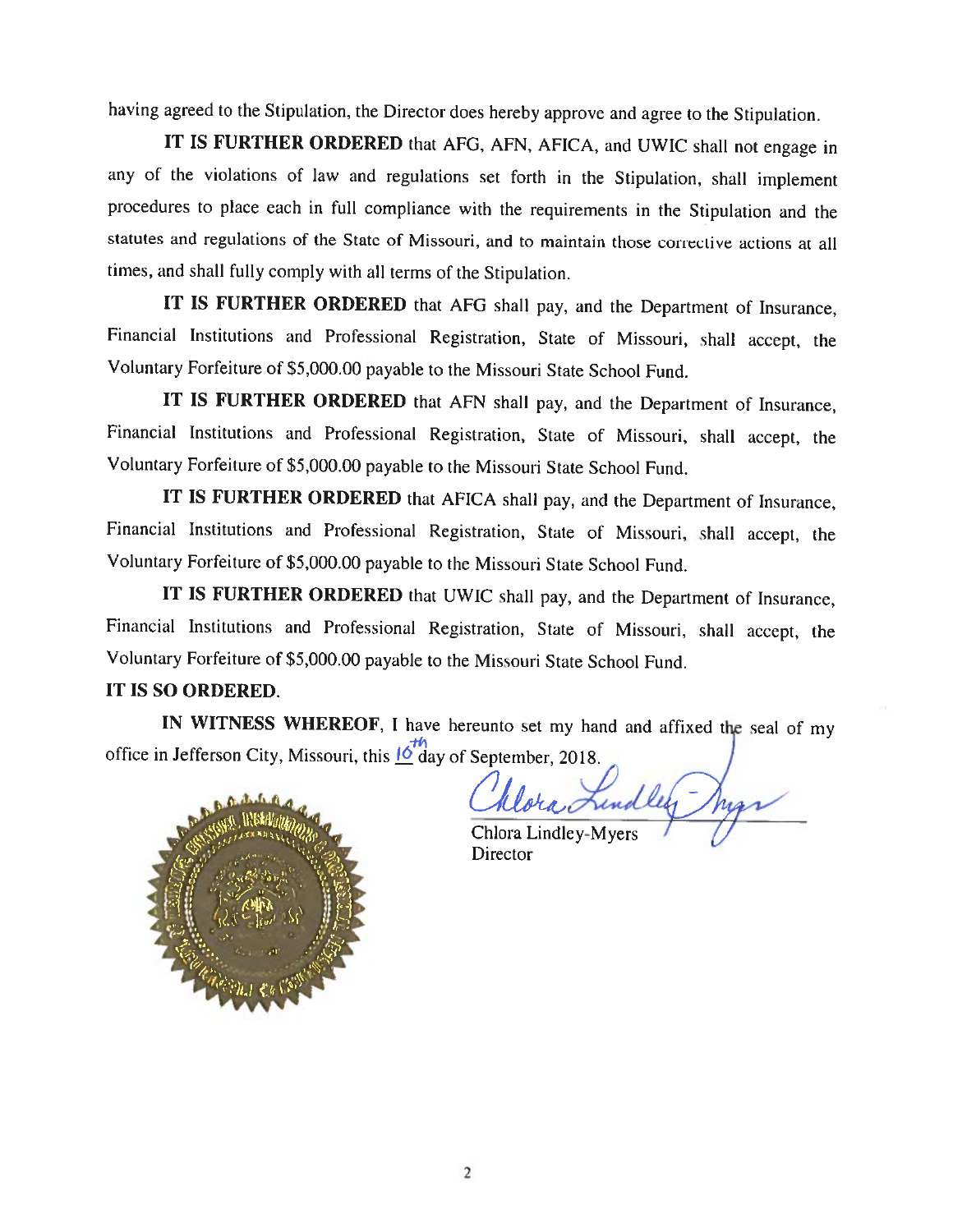having agreed to the Stipulation, the Director does hereby approve and agree to the Stipulation.

IT IS FURTHER ORDERED that AFG, AFN, AFICA, and UWIC shall not engage in any of the violations of law and regulations set forth in the Stipulation. shall implement procedures to <sup>p</sup>lace each in full compliance with the requirements in the Stipulation and the statutes and regulations of the State of Missouri, and to maintain those corrective actions at all times, and shall fully comply with all terms of the Stipulation.

IT IS FURTHER ORDERED that AFG shall pay, and the Department of Insurance, Financial Institutions and Professional Registration. State of Missouri, shall accept. the Voluntary Forfeiture of S5,000.00 payable to the Missouri State School Fund.

IT IS FURTHER ORDERED that AFN shall pay. and the Department of Insurance, Financial Institutions and Professional Registration. State of Missouri. shall accept. the Voluntary Forfeiture of S5,000.00 payable to the Missouri State School Fund.

IT IS FURTHER ORDERED that AFICA shall pay, and the Department of Insurance, Financial Institutions and Professional Registration, State of Missouri, shall accept. the Voluntary Forfeiture of 85,000.00 payable to the Missouri State School Fund.

IT IS FURTHER ORDERED that UWIC shall pay, and the Department of Insurance, Financial Institutions and Professional Registration, State of Missouri, shall accept, the Voluntary Forfeiture of S5,000.0O payable to the Missouri State School Fund.

# IT IS SO ORDERED.

office in Jefferson City, Missouri, this  $\frac{16}{3}$  day of September, 2018 IN WITNESS WHEREOF, I have hereunto set my hand and affixed the seal of my



ገ ra Lundley

Chlora Lindley-Myers **Director**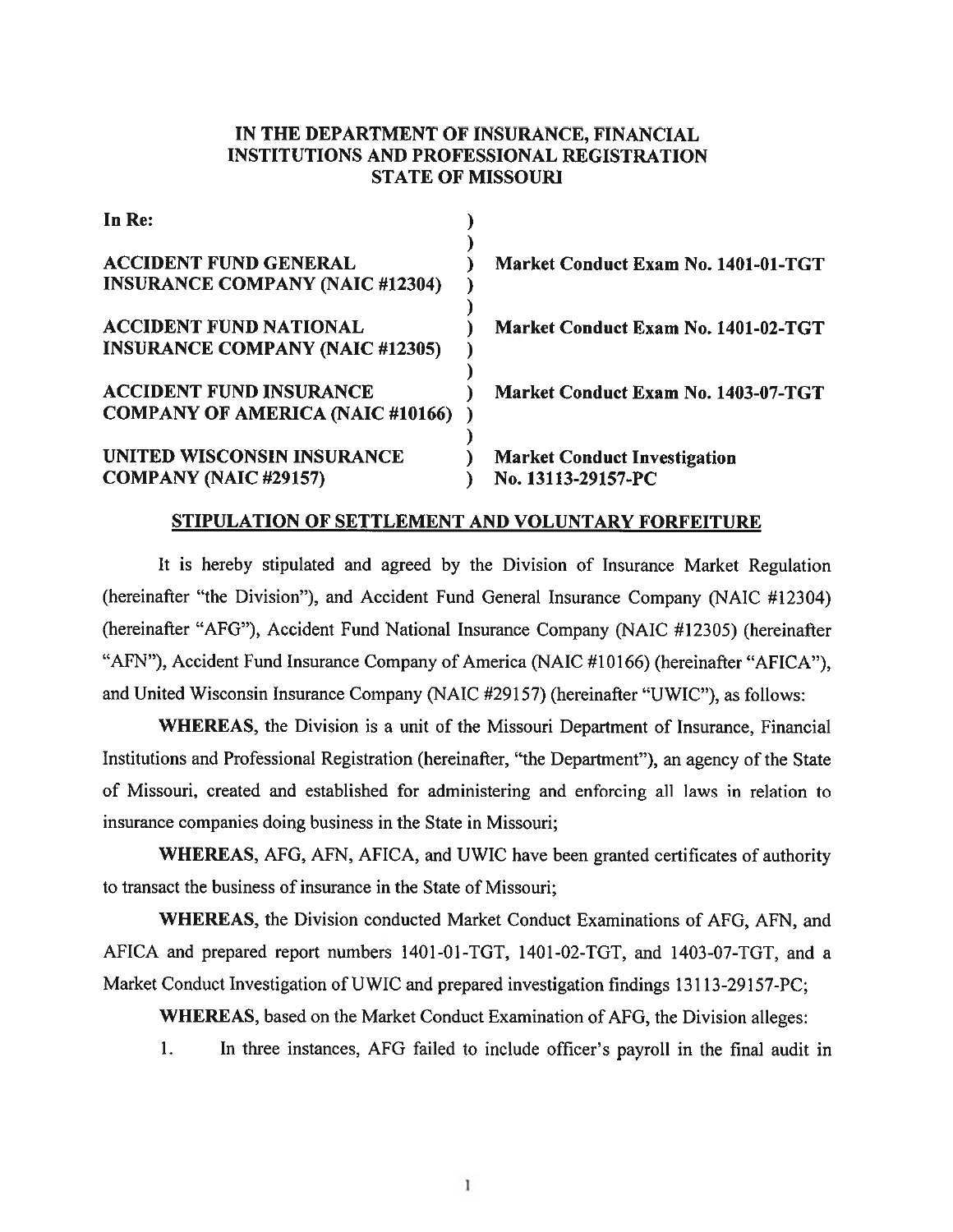## IN THE DEPARTMENT OF INSURANCE, FINANCIAL INSTITUTIONS AND PROFESSIONAL REGISTRATION STATE OF MISSOURi

| In Re:                                                                    |                                                           |
|---------------------------------------------------------------------------|-----------------------------------------------------------|
| <b>ACCIDENT FUND GENERAL</b><br><b>INSURANCE COMPANY (NAIC #12304)</b>    | Market Conduct Exam No. 1401-01-TGT                       |
| <b>ACCIDENT FUND NATIONAL</b><br><b>INSURANCE COMPANY (NAIC #12305)</b>   | Market Conduct Exam No. 1401-02-TGT                       |
| <b>ACCIDENT FUND INSURANCE</b><br><b>COMPANY OF AMERICA (NAIC #10166)</b> | Market Conduct Exam No. 1403-07-TGT                       |
| UNITED WISCONSIN INSURANCE<br><b>COMPANY (NAIC #29157)</b>                | <b>Market Conduct Investigation</b><br>No. 13113-29157-PC |

#### STIPULATION OF SETTLEMENT AND VOLUNTARY FORFEITURE

It is hereby stipulated and agreed by the Division of Insurance Market Regulation (hereinafter "the Division"), and Accident Fund General Insurance Company (NAIC #12304) (hereinafter "AFG"). Accident Fund National Insurance Company (NAIC #12305) (hereinafter "AFN"), Accident Fund Insurance Company of America (NAIC #10166) (hereinafter "AFICA"), and United Wisconsin Insurance Company (NAIC #29157) (hereinafter "UWIC"), as follows:

WHEREAS, the Division is <sup>a</sup> unit of the Missouri Department of Insurance, Financial Institutions and Professional Registration (hereinafter, "the Department"). an agency of the State of Missouri, created and established for administering and enforcing all laws in relation to insurance companies doing business in the State in Missouri;

WHEREAS, AFO, AFN, AFICA, and UWIC have been granted certificates of authority to transact the business of insurance in the State of Missouri;

WHEREAS, the Division conducted Market Conduct Examinations of AFG, AFN. and AFICA and prepared repor<sup>t</sup> numbers 1401-01-TOT. 1401-02-TGT, and 1403-07-TGT. and <sup>a</sup> Market Conduct Investigation of UWIC and prepared investigation findings 13113-29157-PC;

WHEREAS, based on the Market Conduct Examination of AFG. the Division alleges:

I. In three instances. AFG failed to include officer's payroll in the final audit in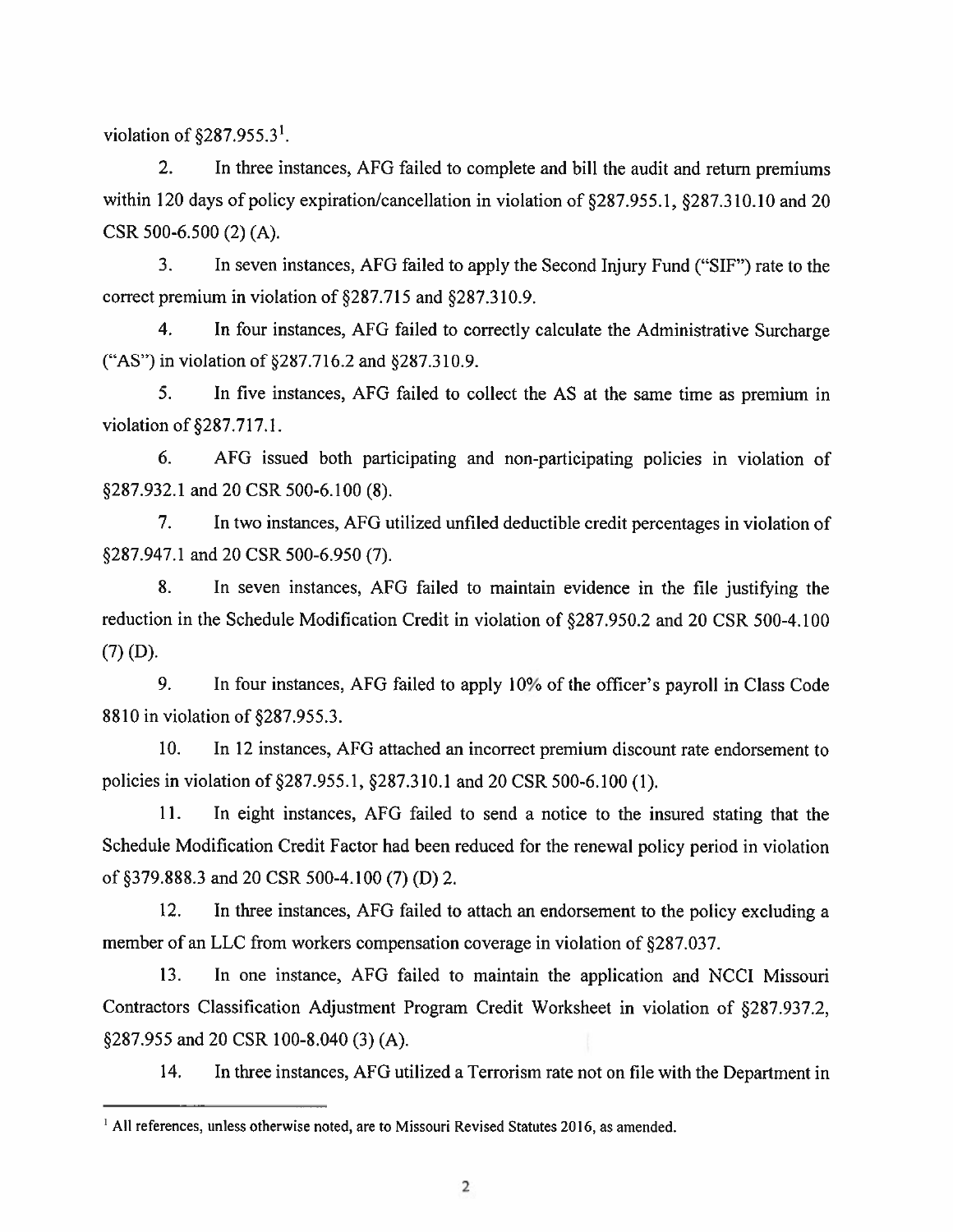violation of  $$287.955.3<sup>1</sup>$ .

2. In three instances, AFG failed to complete and bill the audit and return premiums within 120 days of policy expiration/cancellation in violation of  $\S 287.955.1$ ,  $\S 287.310.10$  and 20 CSR 500-6.500 (2) (A).

3. In seven instances. AFG failed to apply the Second Injury Fund ("SIF") rate to the correct premium in violation of §287.715 and §287.310.9.

4. In four instances. AFG failed to correctly calculate the Administrative Surcharge ("AS") in violation of §287.716.2 and §287.310.9.

5. In five instances. AFG failed to collect the AS at the same time as premium in violation of §287.717.1.

6. AFG issued both participating and non-participating policies in violation of §287.932.1 and 20 CSR 500-6.100 (8).

7. In two instances, AFG utilized unfiled deductible credit percentages in violation of §287.947.1 and 20 CSR 500-6.950 (7).

8. In seven instances, AFG failed to maintain evidence in the file justifying the reduction in the Schedule Modification Credit in violation of §287.950.2 and 20 CSR 500-4.100 (7) (D).

9. In four instances, AFO failed to apply 10% of the officer's payroll in Class Code 8810 in violation of §287.955.3.

10. In 12 instances, AFG attached an incorrect premium discount rate endorsement to policies in violation of §287.955.1, §287.310.1 and 20 CSR 500-6.100 (1).

11. In eight instances. AFO failed to send <sup>a</sup> notice to the insured stating that the Schedule Modification Credit Factor had been reduced for the renewal policy period in violation of379.888.3 and 20 CSR 500-4.100 (7) (D) 2.

12. In three instances. AFG failed to attach an endorsement to the policy excluding <sup>a</sup> member of an LLC from workers compensation coverage in violation of §287.037.

13. In one instance. AFG failed to maintain the application and NCCI Missouri Contractors Classification Adjustment Program Credit Worksheet in violation of §287.937.2, §287.955 and 20 CSR 100-8.040 (3) (A).

14. In three instances, AFG utilized <sup>a</sup> Terrorism rate not on file with the Department in

<sup>&</sup>lt;sup>1</sup> All references, unless otherwise noted, are to Missouri Revised Statutes 2016, as amended.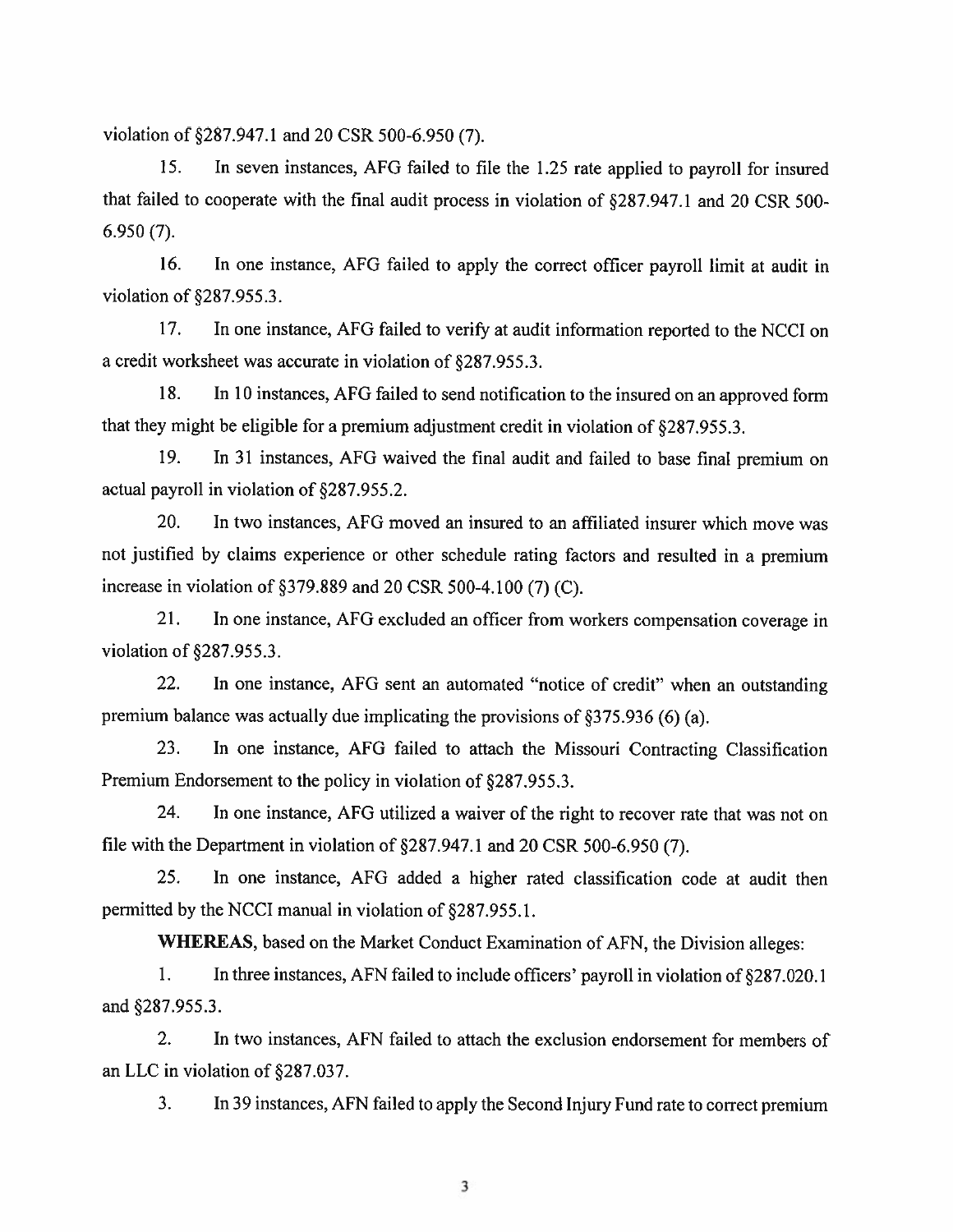violation of  $\S 287.947.1$  and 20 CSR 500-6.950 (7).

15. In seven instances. AFG failed to file the 1.25 rate applied to payroll for insured that failed to cooperate with the final audit process in violation of §287.947.1 and 20 CSR 500- 6.950 (7).

16. In one instance, AFG failed to apply the correct officer payroll limit at audit in violation of  $§287.955.3$ .

17. In one instance, AFO failed to verify at audit information reported to the NCCI on <sup>a</sup> credit worksheet was accurate in violation of §287.955.3.

18. In 10 instances. AFG failed to send notification to the insured on an approved form that they might be eligible for a premium adjustment credit in violation of §287.955.3.

19. In <sup>31</sup> instances. AFG waived the final audit and failed to base final premium on actual payroll in violation of  $§287.955.2$ .

20. In two instances, AFO moved an insured to an affiliated insurer which move was not justified by claims experience or other schedule rating factors and resulted in <sup>a</sup> premium increase in violation of  $\S 379.889$  and 20 CSR 500-4.100 (7) (C).

21. In one instance, AFG excluded an officer from workers compensation coverage in violation of  $§287.955.3$ .

22. In one instance. AFG sent an automated "notice of credit" when an outstanding premium balance was actually due implicating the provisions of §375.936 (6) (a).

23. In one instance, AFO failed to attach the Missouri Contracting Classification Premium Endorsement to the policy in violation of §287.955.3.

24. In one instance, AFG utilized <sup>a</sup> waiver of the right to recover rate that was not on file with the Department in violation of  $\S 287.947.1$  and 20 CSR 500-6.950 (7).

25. In one instance, AFG added <sup>a</sup> higher rated classification code at audit then permitted by the NCCI manual in violation of §287.955.1.

WHEREAS, based on the Market Conduct Examination of AFN, the Division alleges:

1. In three instances, AFN failed to include officers' payroll in violation of §287.020.1 and §287.955.3.

2. In two instances, AFN failed to attach the exclusion endorsement for members of an LLC in violation of §287.037.

3. In 39 instances, AFN failed to apply the Second Injury Fund rate to correct premium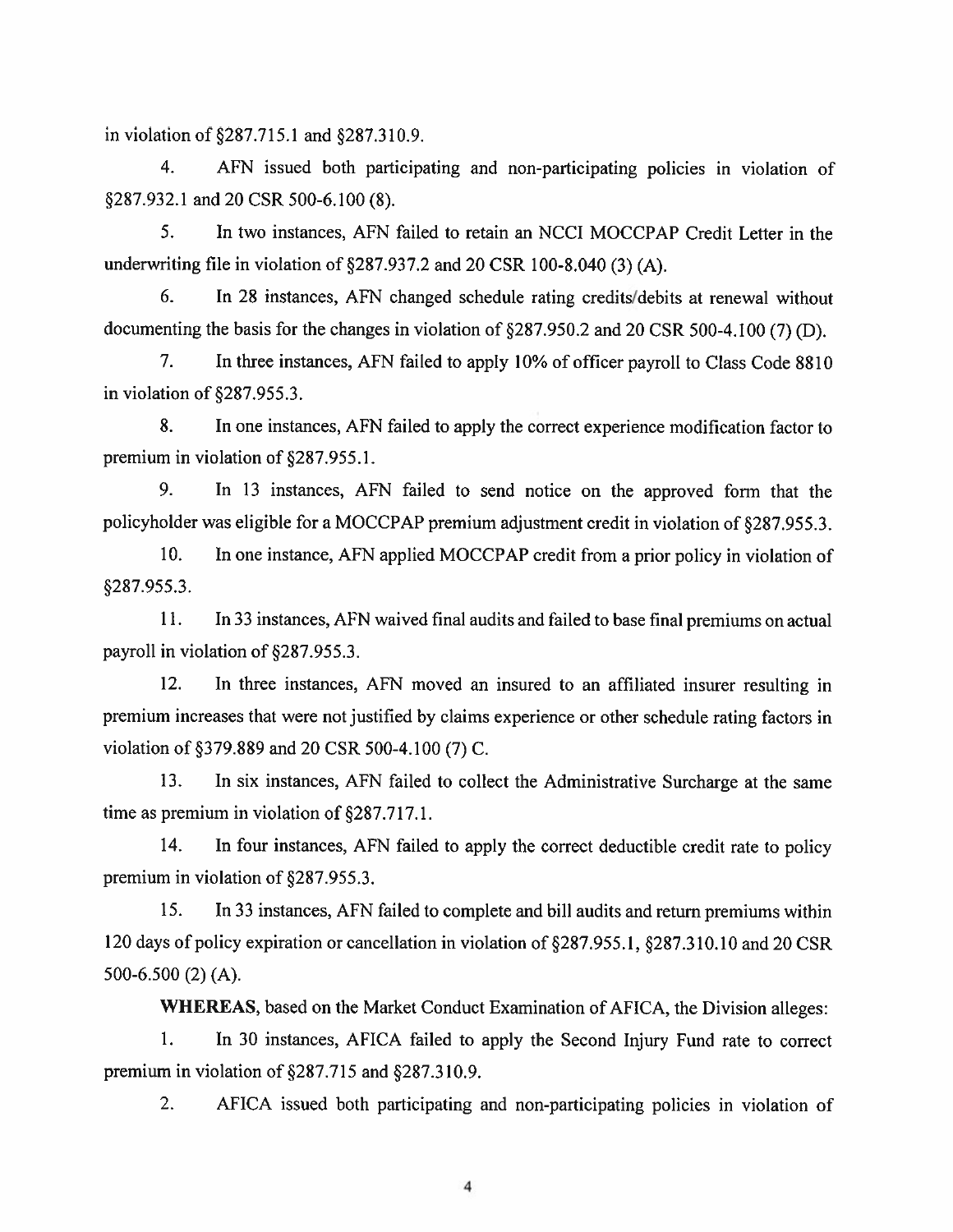in violation of  $\S 287.715.1$  and  $\S 287.310.9$ .

4. AFN issued both participating and non-participating policies in violation of §287.932.1 and 20 CSR 500-6.100 (8).

5. In two instances. AFN failed to retain an NCCI MOCCPAP Credit Letter in the underwriting file in violation of  $\S 287.937.2$  and 20 CSR 100-8.040 (3) (A).

6. In 28 instances, AFN changed schedule rating credits/debits at renewal without documenting the basis for the changes in violation of §287.950.2 and <sup>20</sup> CSR 500-4.100 (7) (D).

7. In three instances, AFN failed to apply 10% of officer payroll to Class Code 8810 in violation of  $\S287.955.3$ .

8. In one instances, AFN failed to apply the correct experience modification factor to premium in violation of §287,955.1.

9. In 13 instances. AFN failed to send notice on the approved form that the policyholder was eligible for <sup>a</sup> MOCCPAP premium adjustment credit in violation of §287.955.3.

10. In one instance, AFN applied MOCCPAP credit from <sup>a</sup> prior policy in violation of §287.955.3.

11. In 33 instances. AFN waived final audits and failed to base final premiums on actual payroll in violation of §287.955.3.

12. In three instances, AFN moved an insured to an affiliated insurer resulting in premium increases that were not justified by claims experience or other schedule rating factors in violation of §379.889 and 20 CSR 500-4.100 (7) C.

13. In six instances, AFN failed to collect the Administrative Surcharge at the same time as premium in violation of §287.717.1.

14. In four instances, AFN failed to apply the correct deductible credit rate to policy premium in violation of §287.955.3.

15. In 33 instances. AFN failed to complete and bill audits and return premiums within 120 days of policy expiration or cancellation in violation of §287.955.1, §287.310.10 and 20 CSR 500-6.500 (2) (A).

WHEREAS, based on the Market Conduct Examination of AFICA. the Division alleges:

1. In <sup>30</sup> instances. AFICA failed to apply the Second Injury Fund rate to correct premium in violation of §287.715 and §287.310.9.

2. AFICA issued both participating and non-participating policies in violation of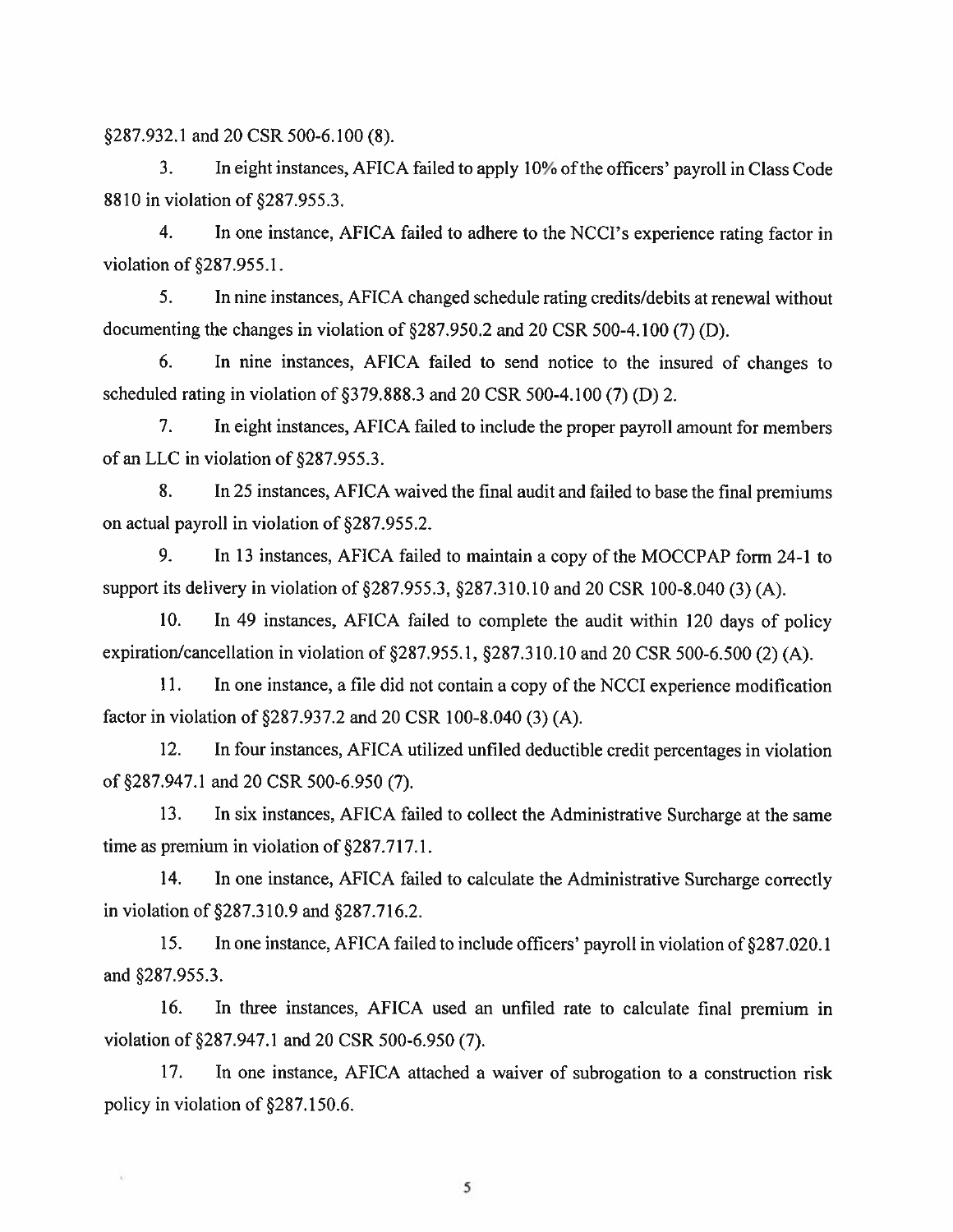§287.932.1 and 20 CSR 500-6.100 (8).

¥,

3. In eight instances, AFICA failed to apply 10% of the officers' payroll in Class Code 8810 in violation of \$287.955.3.

4. In one instance. AFICA failed to adhere to the NCCI's experience rating factor in violation of §287.955.1.

5. In nine instances, AFICA changed schedule rating credits/debits at renewal without documenting the changes in violation of §287.950.2 and 20 CSR 500-4.100 (7) (D).

6. In nine instances. AFICA failed to send notice to the insured of changes to scheduled rating in violation of  $$379.888.3$  and 20 CSR 500-4.100 (7) (D) 2.

7. In eight instances, AFICA failed to include the proper payroll amount for members of an LLC in violation of §287.955.3.

8, In 25 instances, AFICA waived the final audit and failed to base the final premiums on actual payroll in violation of §287.955.2.

9. In 13 instances, AFICA failed to maintain <sup>a</sup> copy of the MOCCPAP form 24-I to support its delivery in violation of §287.955.3, §287.310.10 and 20 CSR 100-8.040 (3) (A).

10. In 49 instances, AFICA failed to complete the audit within <sup>120</sup> days of policy expiration/cancellation in violation of  $\S 287.955.1$ ,  $\S 287.310.10$  and 20 CSR 500-6.500 (2) (A).

11. In one instance, <sup>a</sup> file did not contain <sup>a</sup> copy of the NCCI experience modification factor in violation of §287.937.2 and 20 CSR 100-8.040 (3) (A).

12. In four instances, AFICA utilized unfiled deductible credit percentages in violation of §287.947.1 and 20 CSR 500-6.950 (7).

13. In six instances. AFICA failed to collect the Administrative Surcharge at the same time as premium in violation of  $§287.717.1$ .

14. In one instance. AFICA failed to calculate the Administrative Surcharge correctly in violation of  $§287.310.9$  and  $§287.716.2$ .

15. In one instance, AFICA failed to include officers' payroll in violation of §287.020.1 and §287.955.3.

16. In three instances, AFICA used an unfiled rate to calculate final premium in violation of §287.947.1 and 20 CSR 500-6.950 (7).

17. In one instance, AFICA attached <sup>a</sup> waiver of subrogation to <sup>a</sup> construction risk policy in violation of §287.150.6.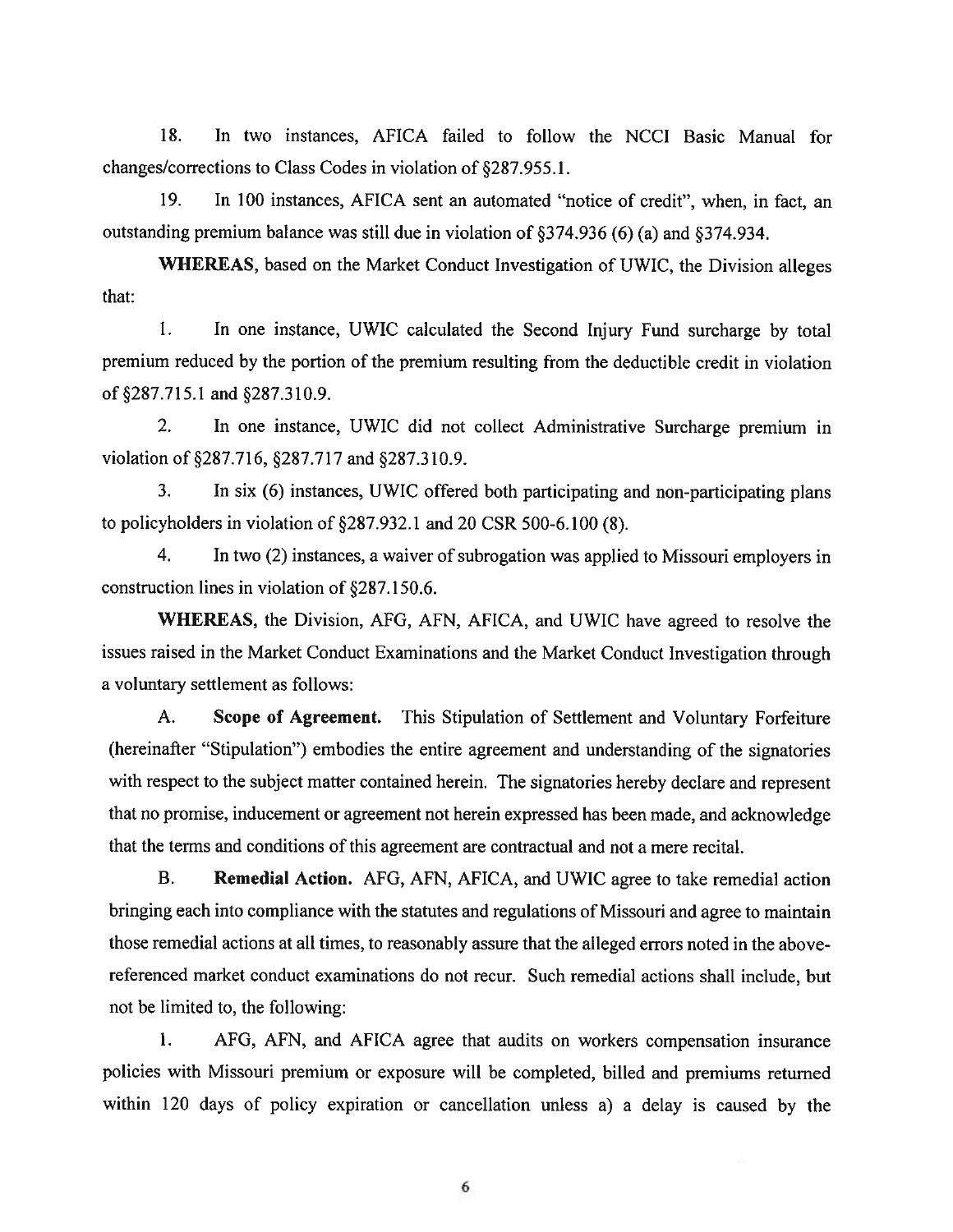18. In two instances. AFICA failed to follow the NCCI Basic Manual for changes/corrections to Class Codes in violation of §287.955.1.

19. In 100 instances. AFICA sent an automated "notice of credit", when, in fact, an outstanding premium balance was still due in violation of §374.936 (6) (a) and §374.934.

WHEREAS. based on the Market Conduct Investigation of UWIC. the Division alleges that:

1. In one instance, UWIC calculated the Second Injury Fund surcharge by total premium reduced by the portion of the premium resulting from the deductible credit in violation of287.715.1 and §287.310.9.

2. In one instance, UWIC did not collect Administrative Surcharge premium in violation of §287.716, §287.717 and §287.310.9.

3. In six (6) instances. UWIC offered both participating and non-participating <sup>p</sup>lans to policyholders in violation of  $\S287.932.1$  and 20 CSR 500-6.100 (8).

4. In two (2) instances, <sup>a</sup> waiver of subrogation was applied to Missouri employers in construction lines in violation of §287.150.6.

WHEREAS. the Division. AFG. AFN. AFICA. and UWIC have agreed to resolve the issues raised in the Market Conduct Examinations and the Market Conduct Investigation through <sup>a</sup> voluntary settlement as follows:

A. Scope of Agreement. This Stipulation of Settlement and Voluntary Forfeiture (hereinafter "Stipulation") embodies the entire agreemen<sup>t</sup> and understanding of the signatories with respec<sup>t</sup> to the subject matter contained herein. The signatories hereby declare and represen<sup>t</sup> that no promise, inducement or agreemen<sup>t</sup> not herein expresse<sup>d</sup> has been made, and acknowledge that the terms and conditions of this agreemen<sup>t</sup> are contractual and not <sup>a</sup> mere recital.

B. Remedial Action. AFO, AFN. AFICA. and UWIC agree to take remedial action bringing each into compliance with the statutes and regulations of Missouri and agree to maintain those remedial actions at all times, to reasonably assure that the alleged errors noted in the abovereferenced market conduct examinations do not recur. Such remedial actions shall include, but not be limited to, the following:

I. AFG. AFN. and AFICA agree that audits on workers compensation insurance policies with Missouri premium or exposure will be completed, billed and premiums returned within <sup>120</sup> days of policy expiration or cancellation unless a) <sup>a</sup> delay is caused by the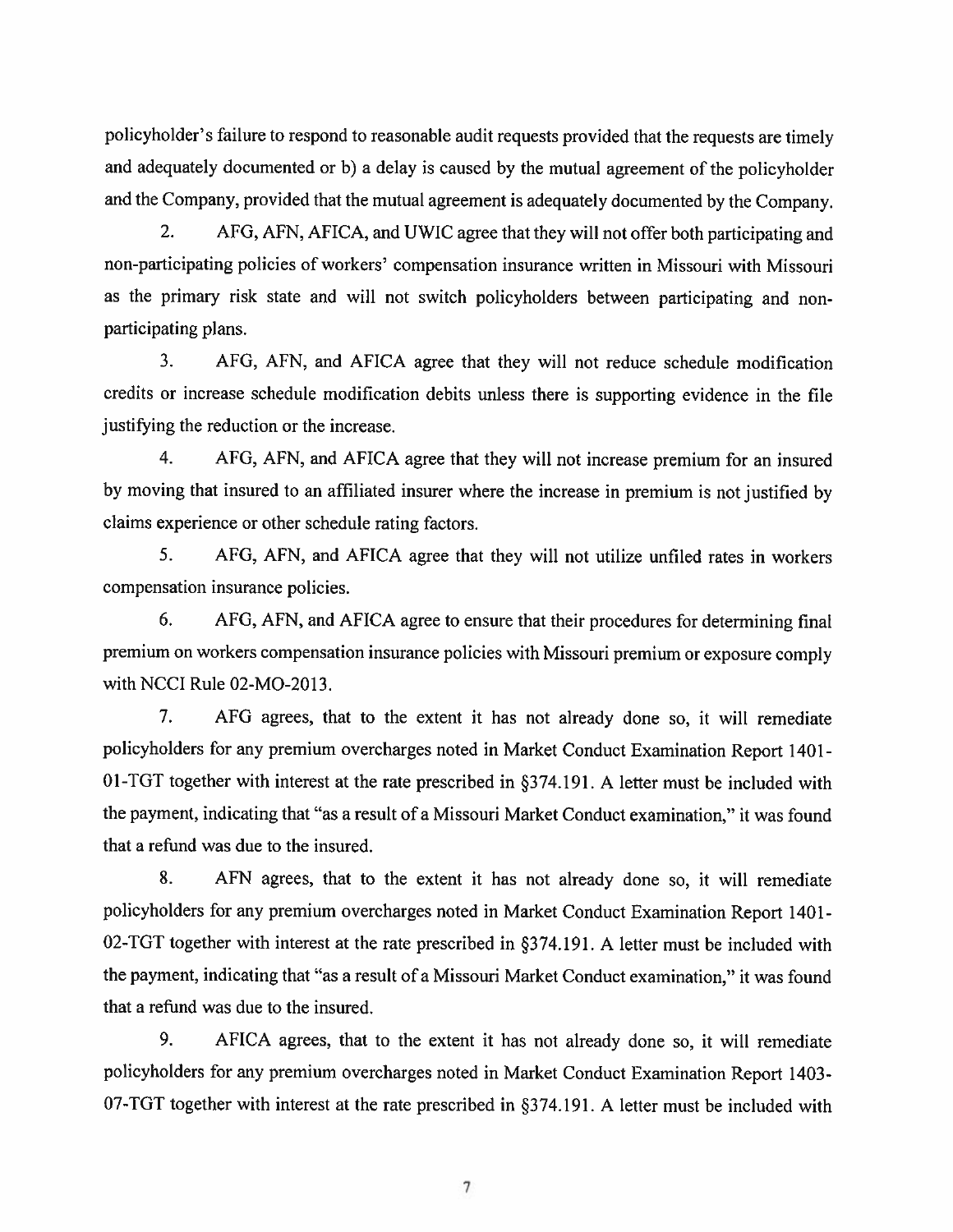policyholder's failure to respon<sup>d</sup> to reasonable audit requests provided that the requests are timely and adequately documented or b) <sup>a</sup> delay is caused by the mutual agreemen<sup>t</sup> of the policyholder and the Company, provided that the mutual agreemen<sup>t</sup> is adequately documented by the Company.

2. AFG, AFN, AFICA, and UWIC agree that they will not offer both participating and non-participating policies of workers' compensation insurance written in Missouri with Missouri as the primary risk state and will not switch policyholders between participating and non participating plans.

3. AFO, AFN, and AFICA agree that they will not reduce schedule modification credits or increase schedule modification debits unless there is supporting evidence in the file justifying the reduction or the increase.

4. AFO, AFN. and AFICA agree that they will not increase premium for an insured by moving that insured to an afffliated insurer where the increase in premium is not justified by claims experience or other schedule rating factors.

5. AFG, AFN. and AFICA agree that they will not utilize unfiled rates in workers compensation insurance policies.

6, AFG, AFN, and AFICA agree to ensure that their procedures for determining final premium on workers compensation insurance policies with Missouri premium or exposure comply with NCCI Rule 02-MO-2013.

7. AFG agrees, that to the extent it has not already done so, it will remediate policyholders for any premium overcharges noted in Market Conduct Examination Report <sup>140</sup> 1- Ol-TGT together with interest at the rate prescribed in §374.191 <sup>A</sup> letter must be included with the payment, indicating that "as <sup>a</sup> result of <sup>a</sup> Missouri Market Conduct examination," it was found that <sup>a</sup> refund was due to the insured.

8. AFN agrees, that to the extent it has not already done so, it will remediate policyholders for any premium overcharges noted in Market Conduct Examination Report 1401- 02-TGT together with interest at the rate prescribed in §374.191. A letter must be included with the payment, indicating that "as a result of a Missouri Market Conduct examination," it was found that <sup>a</sup> refund was due to the insured.

9. AFICA agrees. that to the extent it has not already done so, it will remediate policyholders for any premium overcharges noted in Market Conduct Examination Report 1403- 07-TGT together with interest at the rate prescribed in §374.191. A letter must be included with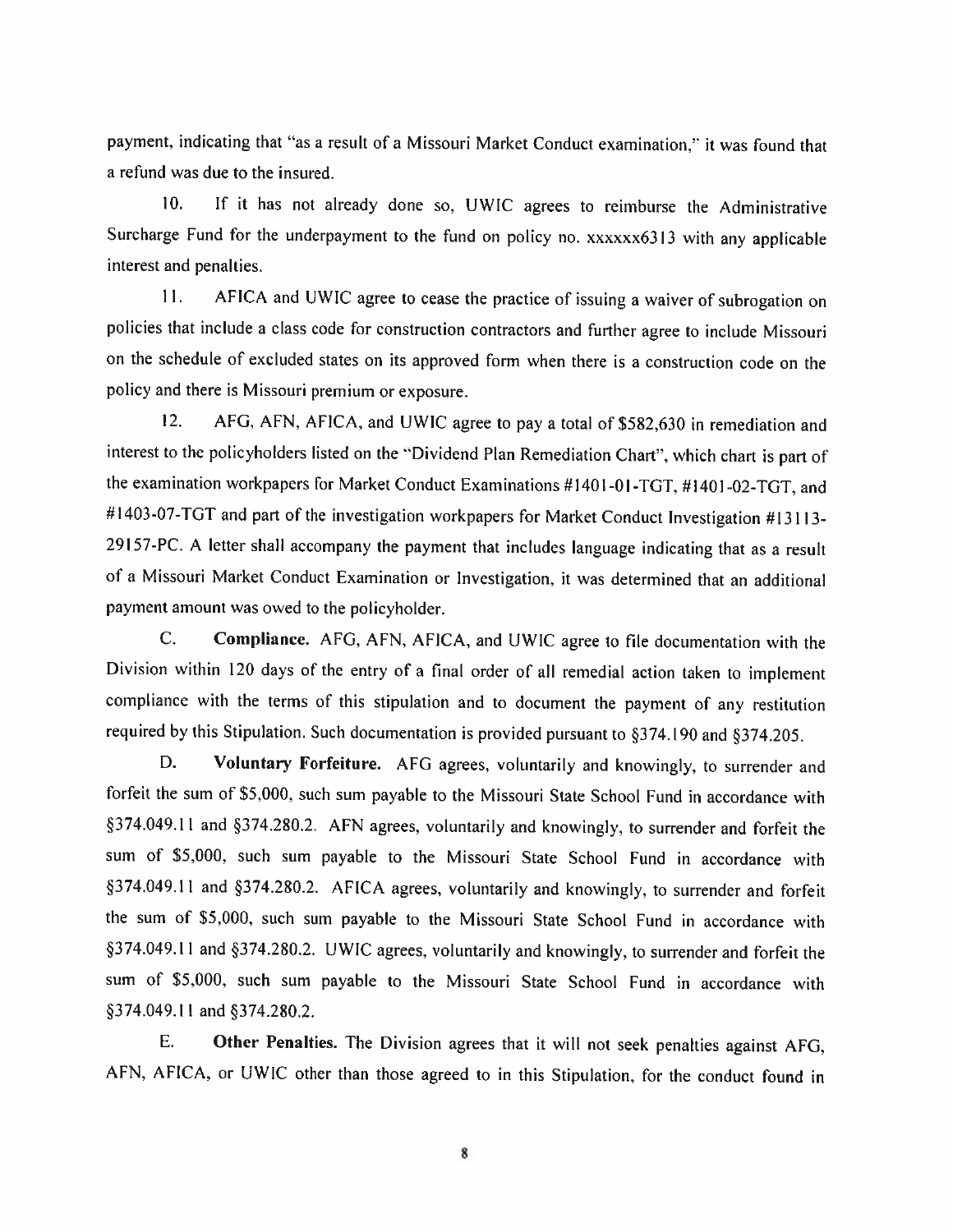payment. indicating that "as <sup>a</sup> result of <sup>a</sup> Missouri Market Conduct examination." it was found that <sup>a</sup> refund was due to the insured.

10. If it has not already done so. UWIC agrees to reimburse the Administrative Surcharge Fund for the underpayment to the fund on policy no. xxxxxx6313 with any applicable interest and penalties.

11. AFICA and UWIC agree to cease the practice of issuing a waiver of subrogation on policies that include a class code for construction contractors and further agree to include Missouri on the schedule of excluded states on its approved form when there is <sup>a</sup> construction code on the policy and there is Missouri premium or exposure.

12. AFG, AFN, AFICA, and UWIC agree to pay a total of \$582,630 in remediation and interest to the policyholders listed on the "Dividend Plan Remediation Chart". which chart is part of the examination workpapers for Market Conduct Examinations #1401-01 -TGT. #1401 -02-TGT. and #1403-07-TGT and part of the investigation workpapers for Market Conduct Investigation #13113-<sup>291</sup> 57-PC. <sup>A</sup> letter shall accompany the payment that includes language indicating that as <sup>a</sup> result of <sup>a</sup> Missouri Market Conduct Examination or Investigation, it was determined that an additional payment amount was owed to the policyholder.

C. Compliance. AFG. AFN. AFICA. and UWIC agree to tile documentation with the Division within <sup>120</sup> days of the entry of <sup>a</sup> final order of all remedial action taken to implement compliance with the terms of this stipulation and to document the payment of any restitution required by this Stipulation. Such documentation is provided pursuant to §374.190 and §374.205.

D. Voluntary Forfeiture. AFG agrees, voluntarily and knowingly, to surrender and forfeit the sum of \$5,000. such sum payable to the Missouri State School Fund in accordance with §374.049.11 and §374.280.2. AFN agrees, voluntarily and knowingly, to surrender and forfeit the sum of 55.000. such sum payable to the Missouri State School Fund in accordance with §374.049.11 and §374.280.2. AFICA agrees, voluntarily and knowingly, to surrender and forfeit the sum of 55.000. such sum payable to the Missouri State School Fund in accordance with §374.049.11 and §374.280.2. UWIC agrees, voluntarily and knowingly, to surrender and forfeit the sum of 55.000. such sum payable to the Missouri State School Fund in accordance with §374.049.11 and §374.280.2.

F. Other Penalties. The Division agrees that it will not seek penalties against AFG. AEN. AFICA. or UWIC other than those agreed to in this Stipulation. for the conduct found in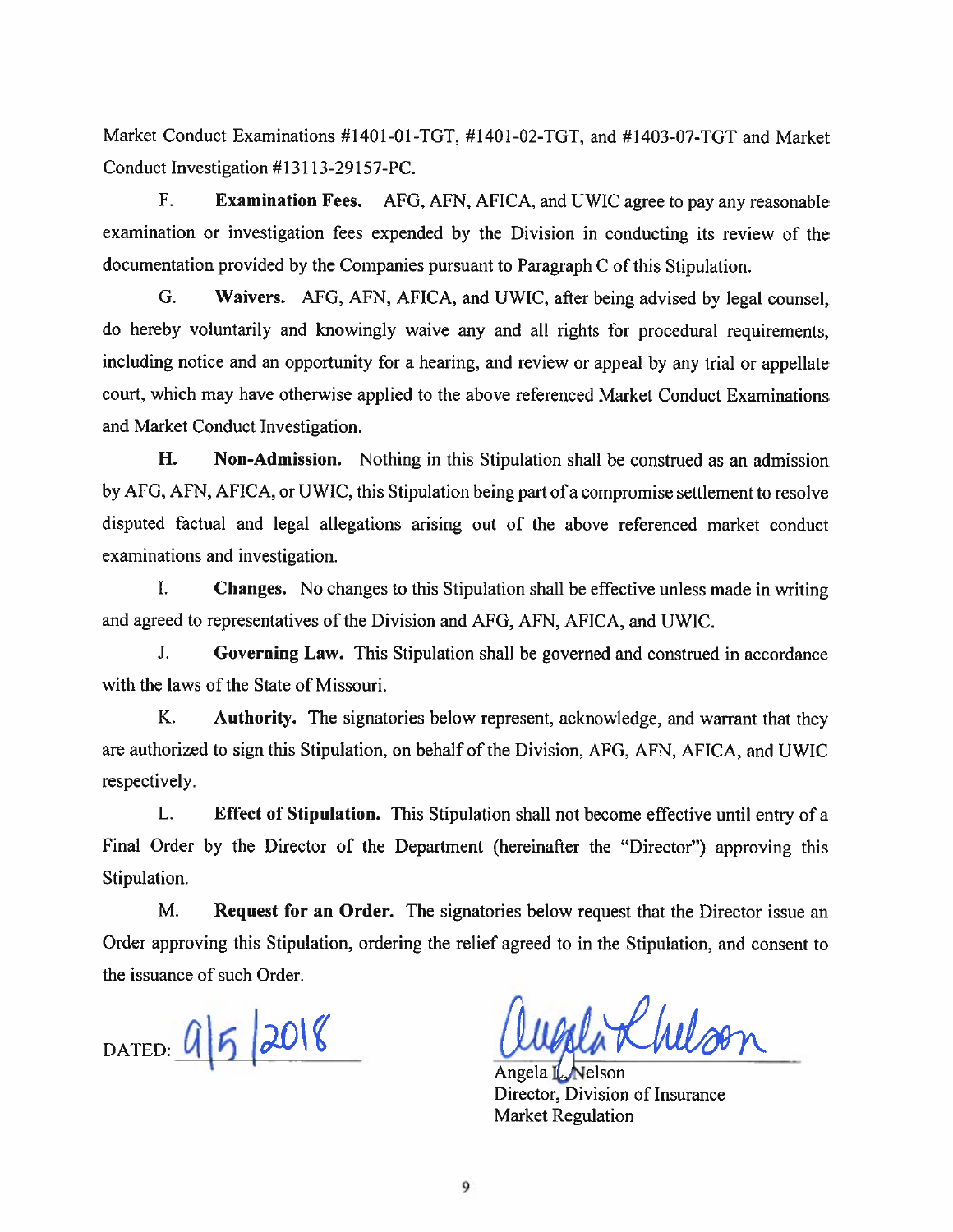Market Conduct Examinations #1401-01 -TOT, #1401 -02-TOT. and #1403-07-TOT and Market Conduct Investigation #13113-29157-PC.

F. Examination Fees. AFO. AFN, AFICA, and UWIC agree to pay any reasonable examination or investigation fees expended by the Division in conducting its review of the documentation provided by the Companies pursuan<sup>t</sup> to Paragraph <sup>C</sup> of this Stipulation.

G. Waivers. AFO, AFN, AFICA. and UWIC, after being advised by legal counsel. do hereby voluntarily and knowingly waive any and all rights for procedural requirements, including notice and an opportunity for <sup>a</sup> hearing, and review or appea<sup>l</sup> by any trial or appellate court, which may have otherwise applied to the above referenced Market Conduct Examinations and Market Conduct Investigation.

H. Non-Admission. Nothing in this Stipulation shall be construed as an admission by AFG, AFN. AFICA, or UWIC. this Stipulation being par<sup>t</sup> of <sup>a</sup> compromise settlement to resolve disputed factual and legal allegations arising out of the above referenced market conduct examinations and investigation.

I. Changes. No changes to this Stipulation shall be effective unless made in writing and agreed to representatives of the Division and AFG, AFN, AFICA, and UWIC.

J. Governing Law. This Stipulation shall be governed and construed in accordance with the laws of the State of Missouri.

K. Authority. The signatories below represent, acknowledge, and warrant that they are authorized to sign this Stipulation, on behalf of the Division, AFO, AFN, AFICA, and UWIC respectively.

L. Effect of Stipulation. This Stipulation shall not become effective until entry of <sup>a</sup> Final Order by the Director of the Department (hereinafter the "Director") approving this Stipulation.

M. Request for an Order. The signatories below request that the Director issue an Order approving this Stipulation, ordering the relief agreed to in the Stipulation, and consent to the issuance of such Order.

DATED:  $952018$ 

Rhelso

Angela II Director, Division of insurance Market Regulation